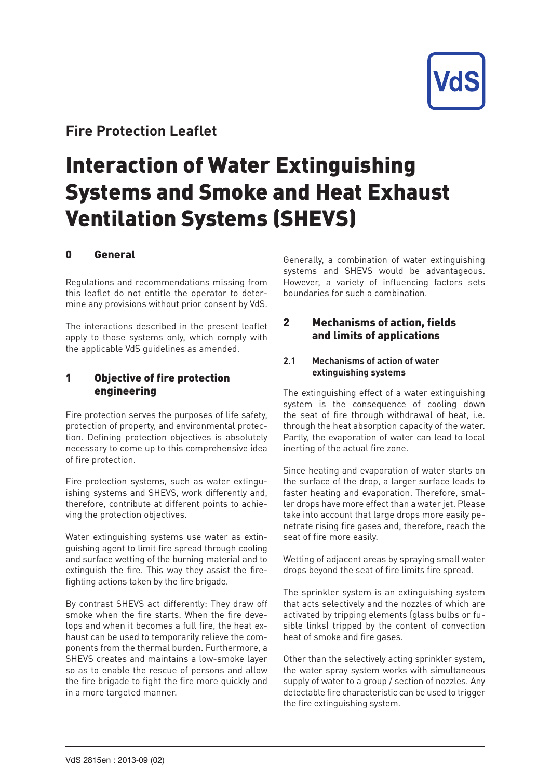

## **Fire Protection Leaflet**

# Interaction of Water Extinguishing Systems and Smoke and Heat Exhaust Ventilation Systems (SHEVS)

## 0 General

Regulations and recommendations missing from this leaflet do not entitle the operator to determine any provisions without prior consent by VdS.

The interactions described in the present leaflet apply to those systems only, which comply with the applicable VdS guidelines as amended.

## 1 Objective of fire protection engineering

Fire protection serves the purposes of life safety, protection of property, and environmental protection. Defining protection objectives is absolutely necessary to come up to this comprehensive idea of fire protection.

Fire protection systems, such as water extinguishing systems and SHEVS, work differently and, therefore, contribute at different points to achieving the protection objectives.

Water extinguishing systems use water as extinguishing agent to limit fire spread through cooling and surface wetting of the burning material and to extinguish the fire. This way they assist the firefighting actions taken by the fire brigade.

By contrast SHEVS act differently: They draw off smoke when the fire starts. When the fire develops and when it becomes a full fire, the heat exhaust can be used to temporarily relieve the components from the thermal burden. Furthermore, a SHEVS creates and maintains a low-smoke layer so as to enable the rescue of persons and allow the fire brigade to fight the fire more quickly and in a more targeted manner.

Generally, a combination of water extinguishing systems and SHEVS would be advantageous. However, a variety of influencing factors sets boundaries for such a combination.

## 2 Mechanisms of action, fields and limits of applications

#### **2.1 Mechanisms of action of water extinguishing systems**

The extinguishing effect of a water extinguishing system is the consequence of cooling down the seat of fire through withdrawal of heat, i.e. through the heat absorption capacity of the water. Partly, the evaporation of water can lead to local inerting of the actual fire zone.

Since heating and evaporation of water starts on the surface of the drop, a larger surface leads to faster heating and evaporation. Therefore, smaller drops have more effect than a water jet. Please take into account that large drops more easily penetrate rising fire gases and, therefore, reach the seat of fire more easily.

Wetting of adjacent areas by spraying small water drops beyond the seat of fire limits fire spread.

The sprinkler system is an extinguishing system that acts selectively and the nozzles of which are activated by tripping elements (glass bulbs or fusible links) tripped by the content of convection heat of smoke and fire gases.

Other than the selectively acting sprinkler system, the water spray system works with simultaneous supply of water to a group / section of nozzles. Any detectable fire characteristic can be used to trigger the fire extinguishing system.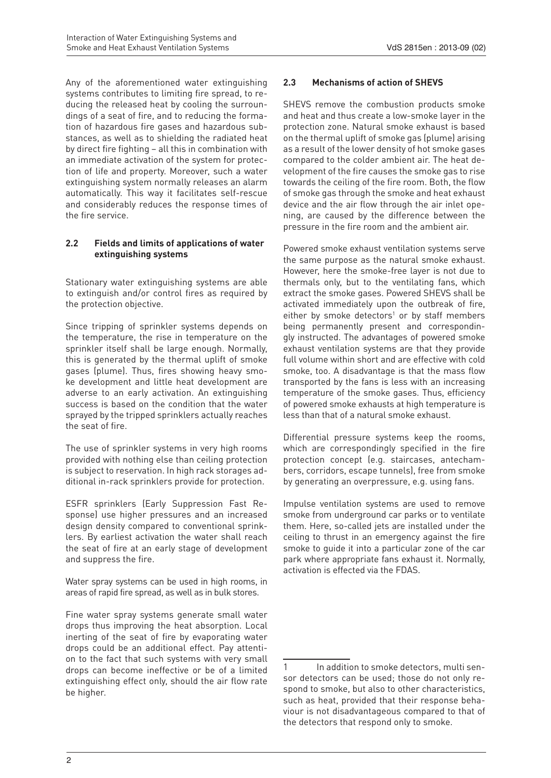Any of the aforementioned water extinguishing systems contributes to limiting fire spread, to reducing the released heat by cooling the surroundings of a seat of fire, and to reducing the formation of hazardous fire gases and hazardous substances, as well as to shielding the radiated heat by direct fire fighting – all this in combination with an immediate activation of the system for protection of life and property. Moreover, such a water extinguishing system normally releases an alarm automatically. This way it facilitates self-rescue and considerably reduces the response times of the fire service.

#### **2.2 Fields and limits of applications of water extinguishing systems**

Stationary water extinguishing systems are able to extinguish and/or control fires as required by the protection objective.

Since tripping of sprinkler systems depends on the temperature, the rise in temperature on the sprinkler itself shall be large enough. Normally, this is generated by the thermal uplift of smoke gases (plume). Thus, fires showing heavy smoke development and little heat development are adverse to an early activation. An extinguishing success is based on the condition that the water sprayed by the tripped sprinklers actually reaches the seat of fire.

The use of sprinkler systems in very high rooms provided with nothing else than ceiling protection is subject to reservation. In high rack storages additional in-rack sprinklers provide for protection.

ESFR sprinklers (Early Suppression Fast Response) use higher pressures and an increased design density compared to conventional sprinklers. By earliest activation the water shall reach the seat of fire at an early stage of development and suppress the fire.

Water spray systems can be used in high rooms, in areas of rapid fire spread, as well as in bulk stores.

Fine water spray systems generate small water drops thus improving the heat absorption. Local inerting of the seat of fire by evaporating water drops could be an additional effect. Pay attention to the fact that such systems with very small drops can become ineffective or be of a limited extinguishing effect only, should the air flow rate be higher.

### **2.3 Mechanisms of action of SHEVS**

SHEVS remove the combustion products smoke and heat and thus create a low-smoke layer in the protection zone. Natural smoke exhaust is based on the thermal uplift of smoke gas (plume) arising as a result of the lower density of hot smoke gases compared to the colder ambient air. The heat development of the fire causes the smoke gas to rise towards the ceiling of the fire room. Both, the flow of smoke gas through the smoke and heat exhaust device and the air flow through the air inlet opening, are caused by the difference between the pressure in the fire room and the ambient air.

Powered smoke exhaust ventilation systems serve the same purpose as the natural smoke exhaust. However, here the smoke-free layer is not due to thermals only, but to the ventilating fans, which extract the smoke gases. Powered SHEVS shall be activated immediately upon the outbreak of fire,  $either$  by smoke detectors<sup>1</sup> or by staff members being permanently present and correspondingly instructed. The advantages of powered smoke exhaust ventilation systems are that they provide full volume within short and are effective with cold smoke, too. A disadvantage is that the mass flow transported by the fans is less with an increasing temperature of the smoke gases. Thus, efficiency of powered smoke exhausts at high temperature is less than that of a natural smoke exhaust.

Differential pressure systems keep the rooms, which are correspondingly specified in the fire protection concept (e.g. staircases, antechambers, corridors, escape tunnels), free from smoke by generating an overpressure, e.g. using fans.

Impulse ventilation systems are used to remove smoke from underground car parks or to ventilate them. Here, so-called jets are installed under the ceiling to thrust in an emergency against the fire smoke to guide it into a particular zone of the car park where appropriate fans exhaust it. Normally, activation is effected via the FDAS.

<sup>1</sup> In addition to smoke detectors, multi sensor detectors can be used; those do not only respond to smoke, but also to other characteristics, such as heat, provided that their response behaviour is not disadvantageous compared to that of the detectors that respond only to smoke.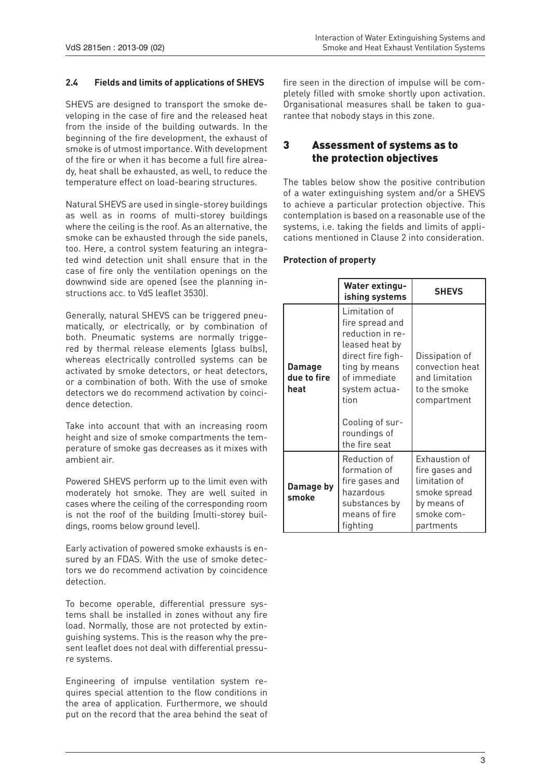#### **2.4 Fields and limits of applications of SHEVS**

SHEVS are designed to transport the smoke developing in the case of fire and the released heat from the inside of the building outwards. In the beginning of the fire development, the exhaust of smoke is of utmost importance. With development of the fire or when it has become a full fire already, heat shall be exhausted, as well, to reduce the temperature effect on load-bearing structures.

Natural SHEVS are used in single-storey buildings as well as in rooms of multi-storey buildings where the ceiling is the roof. As an alternative, the smoke can be exhausted through the side panels, too. Here, a control system featuring an integrated wind detection unit shall ensure that in the case of fire only the ventilation openings on the downwind side are opened (see the planning instructions acc. to VdS leaflet 3530).

Generally, natural SHEVS can be triggered pneumatically, or electrically, or by combination of both. Pneumatic systems are normally triggered by thermal release elements (glass bulbs), whereas electrically controlled systems can be activated by smoke detectors, or heat detectors, or a combination of both. With the use of smoke detectors we do recommend activation by coincidence detection.

Take into account that with an increasing room height and size of smoke compartments the temperature of smoke gas decreases as it mixes with ambient air.

Powered SHEVS perform up to the limit even with moderately hot smoke. They are well suited in cases where the ceiling of the corresponding room is not the roof of the building (multi-storey buildings, rooms below ground level).

Early activation of powered smoke exhausts is ensured by an FDAS. With the use of smoke detectors we do recommend activation by coincidence detection.

To become operable, differential pressure systems shall be installed in zones without any fire load. Normally, those are not protected by extinguishing systems. This is the reason why the present leaflet does not deal with differential pressure systems.

Engineering of impulse ventilation system requires special attention to the flow conditions in the area of application. Furthermore, we should put on the record that the area behind the seat of

fire seen in the direction of impulse will be completely filled with smoke shortly upon activation. Organisational measures shall be taken to guarantee that nobody stays in this zone.

## 3 Assessment of systems as to the protection objectives

The tables below show the positive contribution of a water extinguishing system and/or a SHEVS to achieve a particular protection objective. This contemplation is based on a reasonable use of the systems, i.e. taking the fields and limits of applications mentioned in Clause 2 into consideration.

#### **Protection of property**

|  |                                      | <b>Water extingu-</b><br>ishing systems                                                                                                                                                                   | <b>SHEVS</b>                                                                                                      |
|--|--------------------------------------|-----------------------------------------------------------------------------------------------------------------------------------------------------------------------------------------------------------|-------------------------------------------------------------------------------------------------------------------|
|  | <b>Damage</b><br>due to fire<br>heat | Limitation of<br>fire spread and<br>reduction in re-<br>leased heat by<br>direct fire figh-<br>ting by means<br>of immediate<br>system actua-<br>tion<br>Cooling of sur-<br>roundings of<br>the fire seat | Dissipation of<br>convection heat<br>and limitation<br>to the smoke<br>compartment                                |
|  | Damage by<br>smoke                   | Reduction of<br>formation of<br>fire gases and<br>hazardous<br>substances by<br>means of fire<br>fighting                                                                                                 | <b>Exhaustion of</b><br>fire gases and<br>limitation of<br>smoke spread<br>by means of<br>smoke com-<br>partments |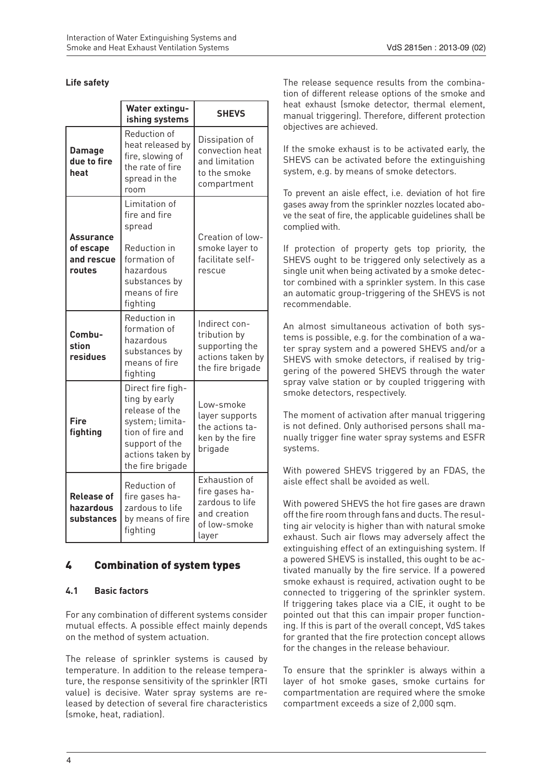#### **Life safety**

|                                                       | <b>Water extingu-</b><br>ishing systems                                                                                                               | <b>SHEVS</b>                                                                                |  |
|-------------------------------------------------------|-------------------------------------------------------------------------------------------------------------------------------------------------------|---------------------------------------------------------------------------------------------|--|
| <b>Damage</b><br>due to fire<br>heat                  | Reduction of<br>heat released by<br>fire, slowing of<br>the rate of fire<br>spread in the<br>room                                                     | Dissipation of<br>convection heat<br>and limitation<br>to the smoke<br>compartment          |  |
| <b>Assurance</b><br>of escape<br>and rescue<br>routes | Limitation of<br>fire and fire<br>spread<br>Reduction in<br>formation of<br>hazardous<br>substances by<br>means of fire<br>fighting                   | Creation of low-<br>smoke layer to<br>facilitate self-<br>rescue                            |  |
| Combu-<br>stion<br>residues                           | Reduction in<br>formation of<br>hazardous<br>substances by<br>means of fire<br>fighting                                                               | Indirect con-<br>tribution by<br>supporting the<br>actions taken by<br>the fire brigade     |  |
| Fire<br>fighting                                      | Direct fire figh-<br>ting by early<br>release of the<br>system; limita-<br>tion of fire and<br>support of the<br>actions taken by<br>the fire brigade | Low-smoke<br>layer supports<br>the actions ta-<br>ken by the fire<br>brigade                |  |
| <b>Release of</b><br>hazardous<br>substances          | Reduction of<br>fire gases ha-<br>zardous to life<br>by means of fire<br>fighting                                                                     | Exhaustion of<br>fire gases ha-<br>zardous to life<br>and creation<br>of low-smoke<br>layer |  |

## 4 Combination of system types

#### **4.1 Basic factors**

For any combination of different systems consider mutual effects. A possible effect mainly depends on the method of system actuation.

The release of sprinkler systems is caused by temperature. In addition to the release temperature, the response sensitivity of the sprinkler (RTI value) is decisive. Water spray systems are released by detection of several fire characteristics (smoke, heat, radiation).

The release sequence results from the combination of different release options of the smoke and heat exhaust (smoke detector, thermal element, manual triggering). Therefore, different protection objectives are achieved.

If the smoke exhaust is to be activated early, the SHEVS can be activated before the extinguishing system, e.g. by means of smoke detectors.

To prevent an aisle effect, i.e. deviation of hot fire gases away from the sprinkler nozzles located above the seat of fire, the applicable guidelines shall be complied with.

If protection of property gets top priority, the SHEVS ought to be triggered only selectively as a single unit when being activated by a smoke detector combined with a sprinkler system. In this case an automatic group-triggering of the SHEVS is not recommendable.

An almost simultaneous activation of both systems is possible, e.g. for the combination of a water spray system and a powered SHEVS and/or a SHEVS with smoke detectors, if realised by triggering of the powered SHEVS through the water spray valve station or by coupled triggering with smoke detectors, respectively.

The moment of activation after manual triggering is not defined. Only authorised persons shall manually trigger fine water spray systems and ESFR systems.

With powered SHEVS triggered by an FDAS, the aisle effect shall be avoided as well.

With powered SHEVS the hot fire gases are drawn off the fire room through fans and ducts. The resulting air velocity is higher than with natural smoke exhaust. Such air flows may adversely affect the extinguishing effect of an extinguishing system. If a powered SHEVS is installed, this ought to be activated manually by the fire service. If a powered smoke exhaust is required, activation ought to be connected to triggering of the sprinkler system. If triggering takes place via a CIE, it ought to be pointed out that this can impair proper functioning. If this is part of the overall concept, VdS takes for granted that the fire protection concept allows for the changes in the release behaviour.

To ensure that the sprinkler is always within a layer of hot smoke gases, smoke curtains for compartmentation are required where the smoke compartment exceeds a size of 2,000 sqm.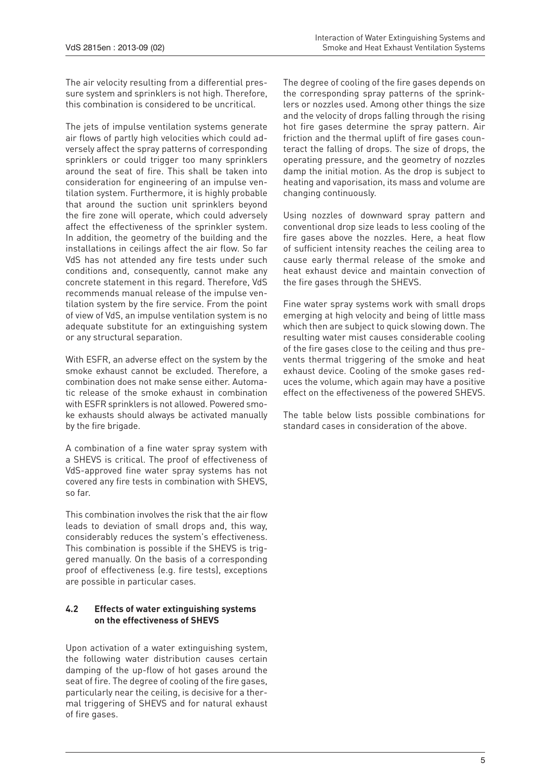The air velocity resulting from a differential pressure system and sprinklers is not high. Therefore, this combination is considered to be uncritical.

The jets of impulse ventilation systems generate air flows of partly high velocities which could adversely affect the spray patterns of corresponding sprinklers or could trigger too many sprinklers around the seat of fire. This shall be taken into consideration for engineering of an impulse ventilation system. Furthermore, it is highly probable that around the suction unit sprinklers beyond the fire zone will operate, which could adversely affect the effectiveness of the sprinkler system. In addition, the geometry of the building and the installations in ceilings affect the air flow. So far VdS has not attended any fire tests under such conditions and, consequently, cannot make any concrete statement in this regard. Therefore, VdS recommends manual release of the impulse ventilation system by the fire service. From the point of view of VdS, an impulse ventilation system is no adequate substitute for an extinguishing system or any structural separation.

With ESFR, an adverse effect on the system by the smoke exhaust cannot be excluded. Therefore, a combination does not make sense either. Automatic release of the smoke exhaust in combination with ESFR sprinklers is not allowed. Powered smoke exhausts should always be activated manually by the fire brigade.

A combination of a fine water spray system with a SHEVS is critical. The proof of effectiveness of VdS-approved fine water spray systems has not covered any fire tests in combination with SHEVS, so far.

This combination involves the risk that the air flow leads to deviation of small drops and, this way, considerably reduces the system's effectiveness. This combination is possible if the SHEVS is triggered manually. On the basis of a corresponding proof of effectiveness (e.g. fire tests), exceptions are possible in particular cases.

#### **4.2 Effects of water extinguishing systems on the effectiveness of SHEVS**

Upon activation of a water extinguishing system, the following water distribution causes certain damping of the up-flow of hot gases around the seat of fire. The degree of cooling of the fire gases, particularly near the ceiling, is decisive for a thermal triggering of SHEVS and for natural exhaust of fire gases.

The degree of cooling of the fire gases depends on the corresponding spray patterns of the sprinklers or nozzles used. Among other things the size and the velocity of drops falling through the rising hot fire gases determine the spray pattern. Air friction and the thermal uplift of fire gases counteract the falling of drops. The size of drops, the operating pressure, and the geometry of nozzles damp the initial motion. As the drop is subject to heating and vaporisation, its mass and volume are changing continuously.

Using nozzles of downward spray pattern and conventional drop size leads to less cooling of the fire gases above the nozzles. Here, a heat flow of sufficient intensity reaches the ceiling area to cause early thermal release of the smoke and heat exhaust device and maintain convection of the fire gases through the SHEVS.

Fine water spray systems work with small drops emerging at high velocity and being of little mass which then are subject to quick slowing down. The resulting water mist causes considerable cooling of the fire gases close to the ceiling and thus prevents thermal triggering of the smoke and heat exhaust device. Cooling of the smoke gases reduces the volume, which again may have a positive effect on the effectiveness of the powered SHEVS.

The table below lists possible combinations for standard cases in consideration of the above.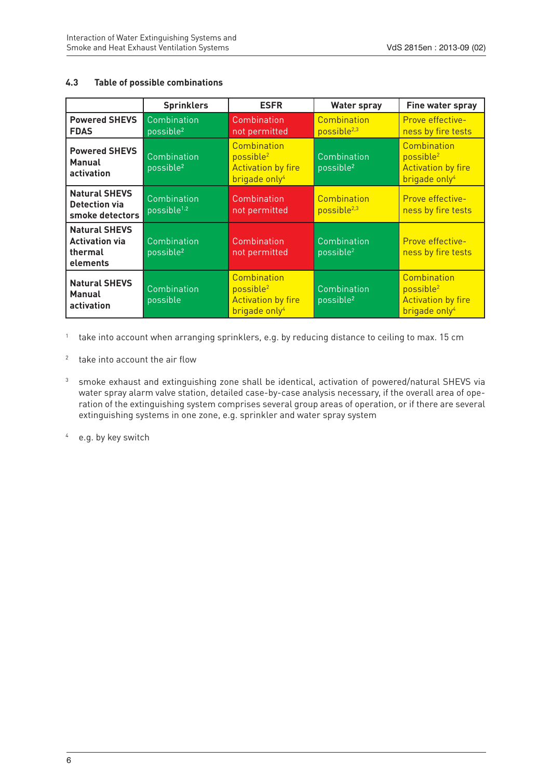#### **4.3 Table of possible combinations**

|                                                                      | <b>Sprinklers</b>                      | <b>ESFR</b>                                                                                    | <b>Water spray</b>                     | Fine water spray                                                                               |
|----------------------------------------------------------------------|----------------------------------------|------------------------------------------------------------------------------------------------|----------------------------------------|------------------------------------------------------------------------------------------------|
| <b>Powered SHEVS</b><br><b>FDAS</b>                                  | Combination<br>possible <sup>2</sup>   | Combination<br>not permitted                                                                   | Combination<br>possible <sup>2,3</sup> | Prove effective-<br>ness by fire tests                                                         |
| <b>Powered SHEVS</b><br><b>Manual</b><br>activation                  | Combination<br>possible <sup>2</sup>   | Combination<br>possible <sup>2</sup><br><b>Activation by fire</b><br>brigade only <sup>4</sup> | Combination<br>possible <sup>2</sup>   | Combination<br>possible <sup>2</sup><br><b>Activation by fire</b><br>brigade only <sup>4</sup> |
| <b>Natural SHEVS</b><br>Detection via<br>smoke detectors             | Combination<br>possible <sup>1,2</sup> | Combination<br>not permitted                                                                   | Combination<br>possible <sup>2,3</sup> | Prove effective-<br>ness by fire tests                                                         |
| <b>Natural SHEVS</b><br><b>Activation via</b><br>thermal<br>elements | Combination<br>possible <sup>2</sup>   | Combination<br>not permitted                                                                   | Combination<br>possible <sup>2</sup>   | Prove effective-<br>ness by fire tests                                                         |
| <b>Natural SHEVS</b><br><b>Manual</b><br>activation                  | Combination<br>possible                | Combination<br>possible <sup>2</sup><br><b>Activation by fire</b><br>brigade only <sup>4</sup> | Combination<br>possible <sup>2</sup>   | Combination<br>possible <sup>2</sup><br><b>Activation by fire</b><br>brigade only <sup>4</sup> |

1 take into account when arranging sprinklers, e.g. by reducing distance to ceiling to max. 15 cm

- 2 take into account the air flow
- 3 smoke exhaust and extinguishing zone shall be identical, activation of powered/natural SHEVS via water spray alarm valve station, detailed case-by-case analysis necessary, if the overall area of operation of the extinguishing system comprises several group areas of operation, or if there are several extinguishing systems in one zone, e.g. sprinkler and water spray system

4 e.g. by key switch